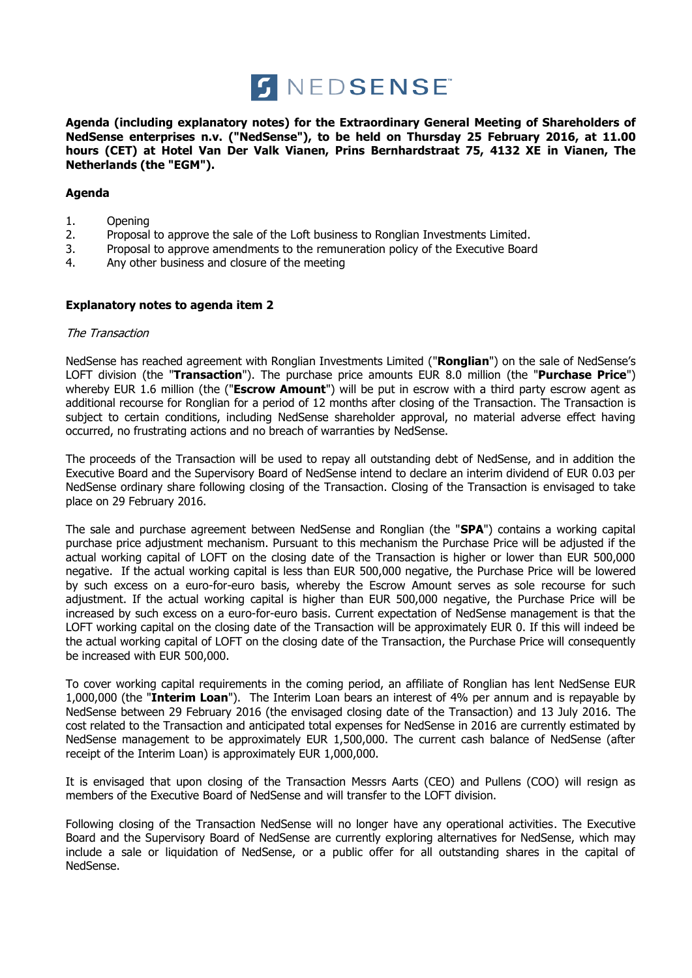

**Agenda (including explanatory notes) for the Extraordinary General Meeting of Shareholders of NedSense enterprises n.v. ("NedSense"), to be held on Thursday 25 February 2016, at 11.00 hours (CET) at Hotel Van Der Valk Vianen, Prins Bernhardstraat 75, 4132 XE in Vianen, The Netherlands (the "EGM").**

# **Agenda**

- 1. Opening
- 2. Proposal to approve the sale of the Loft business to Ronglian Investments Limited.
- 3. Proposal to approve amendments to the remuneration policy of the Executive Board
- 4. Any other business and closure of the meeting

# **Explanatory notes to agenda item 2**

## The Transaction

NedSense has reached agreement with Ronglian Investments Limited ("**Ronglian**") on the sale of NedSense's LOFT division (the "**Transaction**"). The purchase price amounts EUR 8.0 million (the "**Purchase Price**") whereby EUR 1.6 million (the ("**Escrow Amount**") will be put in escrow with a third party escrow agent as additional recourse for Ronglian for a period of 12 months after closing of the Transaction. The Transaction is subject to certain conditions, including NedSense shareholder approval, no material adverse effect having occurred, no frustrating actions and no breach of warranties by NedSense.

The proceeds of the Transaction will be used to repay all outstanding debt of NedSense, and in addition the Executive Board and the Supervisory Board of NedSense intend to declare an interim dividend of EUR 0.03 per NedSense ordinary share following closing of the Transaction. Closing of the Transaction is envisaged to take place on 29 February 2016.

The sale and purchase agreement between NedSense and Ronglian (the "**SPA**") contains a working capital purchase price adjustment mechanism. Pursuant to this mechanism the Purchase Price will be adjusted if the actual working capital of LOFT on the closing date of the Transaction is higher or lower than EUR 500,000 negative. If the actual working capital is less than EUR 500,000 negative, the Purchase Price will be lowered by such excess on a euro-for-euro basis, whereby the Escrow Amount serves as sole recourse for such adjustment. If the actual working capital is higher than EUR 500,000 negative, the Purchase Price will be increased by such excess on a euro-for-euro basis. Current expectation of NedSense management is that the LOFT working capital on the closing date of the Transaction will be approximately EUR 0. If this will indeed be the actual working capital of LOFT on the closing date of the Transaction, the Purchase Price will consequently be increased with EUR 500,000.

To cover working capital requirements in the coming period, an affiliate of Ronglian has lent NedSense EUR 1,000,000 (the "**Interim Loan**"). The Interim Loan bears an interest of 4% per annum and is repayable by NedSense between 29 February 2016 (the envisaged closing date of the Transaction) and 13 July 2016. The cost related to the Transaction and anticipated total expenses for NedSense in 2016 are currently estimated by NedSense management to be approximately EUR 1,500,000. The current cash balance of NedSense (after receipt of the Interim Loan) is approximately EUR 1,000,000.

It is envisaged that upon closing of the Transaction Messrs Aarts (CEO) and Pullens (COO) will resign as members of the Executive Board of NedSense and will transfer to the LOFT division.

Following closing of the Transaction NedSense will no longer have any operational activities. The Executive Board and the Supervisory Board of NedSense are currently exploring alternatives for NedSense, which may include a sale or liquidation of NedSense, or a public offer for all outstanding shares in the capital of NedSense.